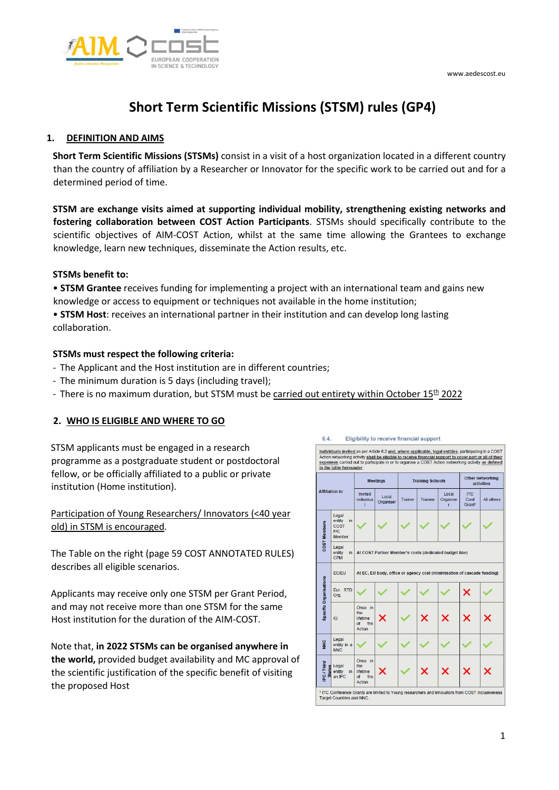

# Short Term Scientific Missions (STSM) rules (GP4)

#### 1. DEFINITION AND AIMS

Short Term Scientific Missions (STSMs) consist in a visit of a host organization located in a different country than the country of affiliation by a Researcher or Innovator for the specific work to be carried out and for a determined period of time.

STSM are exchange visits aimed at supporting individual mobility, strengthening existing networks and fostering collaboration between COST Action Participants. STSMs should specifically contribute to the scientific objectives of AIM-COST Action, whilst at the same time allowing the Grantees to exchange knowledge, learn new techniques, disseminate the Action results, etc.

#### STSMs benefit to:

• STSM Grantee receives funding for implementing a project with an international team and gains new knowledge or access to equipment or techniques not available in the home institution;

• STSM Host: receives an international partner in their institution and can develop long lasting collaboration.

### STSMs must respect the following criteria:

- The Applicant and the Host institution are in different countries;
- The minimum duration is 5 days (including travel);
- There is no maximum duration, but STSM must be carried out entirety within October  $15<sup>th</sup>$  2022

# 2. WHO IS ELIGIBLE AND WHERE TO GO

STSM applicants must be engaged in a research programme as a postgraduate student or postdoctoral fellow, or be officially affiliated to a public or private institution (Home institution).

Participation of Young Researchers/ Innovators (<40 year old) in STSM is encouraged.

The Table on the right (page 59 COST ANNOTATED RULES) describes all eligible scenarios.

Applicants may receive only one STSM per Grant Period, and may not receive more than one STSM for the same Host institution for the duration of the AIM-COST.

Note that, in 2022 STSMs can be organised anywhere in the world, provided budget availability and MC approval of the scientific justification of the specific benefit of visiting the proposed Host

| <b>Affiliation to</b>       |                                                | <b>Meetings</b>                                                         |                    | <b>Training Schools</b> |         |                        | Other networking<br>activities |            |
|-----------------------------|------------------------------------------------|-------------------------------------------------------------------------|--------------------|-------------------------|---------|------------------------|--------------------------------|------------|
|                             |                                                | Invited<br>individua.<br>т                                              | Local<br>Organiser | Trainer                 | Trainee | Local<br>Organise<br>r | <b>ITC</b><br>Conf<br>Grant*   | All others |
| COST Members                | Legal<br>entity<br>in<br>COST<br>F/C<br>Member |                                                                         |                    |                         |         |                        |                                |            |
|                             | Legal<br>entity<br>in<br>CPM                   | At COST Partner Member's costs (dedicated budget line)                  |                    |                         |         |                        |                                |            |
| Specific Organisations      | EC/EU                                          | At EC, EU body, office or agency cost (minimisation of cascade funding) |                    |                         |         |                        |                                |            |
|                             | Fur RTD<br>Org.                                |                                                                         |                    |                         |         |                        |                                |            |
|                             | IO                                             | Once in<br>the<br>lifetime<br>$\alpha$ <sub>f</sub><br>the<br>Action    |                    |                         |         |                        |                                |            |
| <b>NNC</b>                  | Legal<br>entity in a<br><b>NNC</b>             |                                                                         |                    |                         |         |                        |                                |            |
| PC / Third<br><b>States</b> | Legal<br>entity<br>in<br>an IPC                | Once in<br>the<br>lifetime<br>of<br>the<br>Action                       |                    |                         |         |                        |                                |            |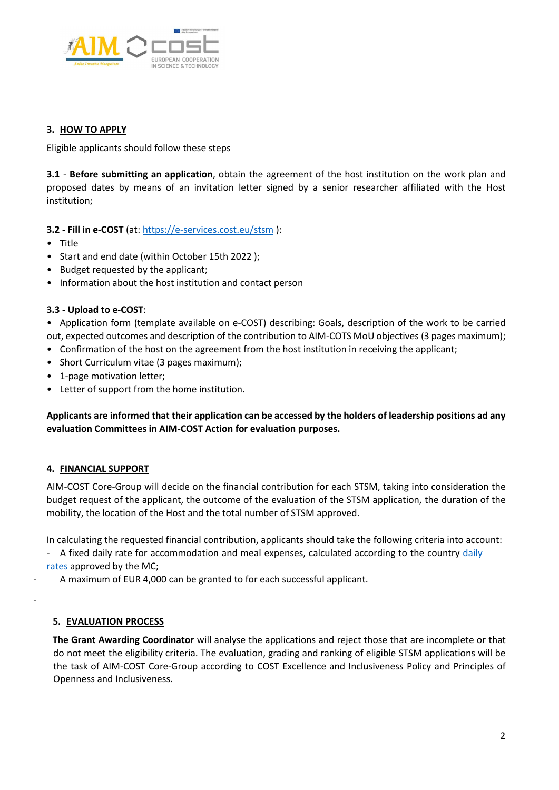

#### 3. HOW TO APPLY

Eligible applicants should follow these steps

3.1 - Before submitting an application, obtain the agreement of the host institution on the work plan and proposed dates by means of an invitation letter signed by a senior researcher affiliated with the Host institution;

### 3.2 - Fill in e-COST (at: https://e-services.cost.eu/stsm ):

- Title
- Start and end date (within October 15th 2022 );
- Budget requested by the applicant;
- Information about the host institution and contact person

### 3.3 - Upload to e-COST:

• Application form (template available on e-COST) describing: Goals, description of the work to be carried out, expected outcomes and description of the contribution to AIM-COTS MoU objectives (3 pages maximum);

- Confirmation of the host on the agreement from the host institution in receiving the applicant;
- Short Curriculum vitae (3 pages maximum);
- 1-page motivation letter;
- Letter of support from the home institution.

Applicants are informed that their application can be accessed by the holders of leadership positions ad any evaluation Committees in AIM-COST Action for evaluation purposes.

# 4. FINANCIAL SUPPORT

AIM-COST Core-Group will decide on the financial contribution for each STSM, taking into consideration the budget request of the applicant, the outcome of the evaluation of the STSM application, the duration of the mobility, the location of the Host and the total number of STSM approved.

In calculating the requested financial contribution, applicants should take the following criteria into account:

- A fixed daily rate for accommodation and meal expenses, calculated according to the country daily rates approved by the MC;
	- A maximum of EUR 4,000 can be granted to for each successful applicant.

# 5. EVALUATION PROCESS

-

The Grant Awarding Coordinator will analyse the applications and reject those that are incomplete or that do not meet the eligibility criteria. The evaluation, grading and ranking of eligible STSM applications will be the task of AIM-COST Core-Group according to COST Excellence and Inclusiveness Policy and Principles of Openness and Inclusiveness.